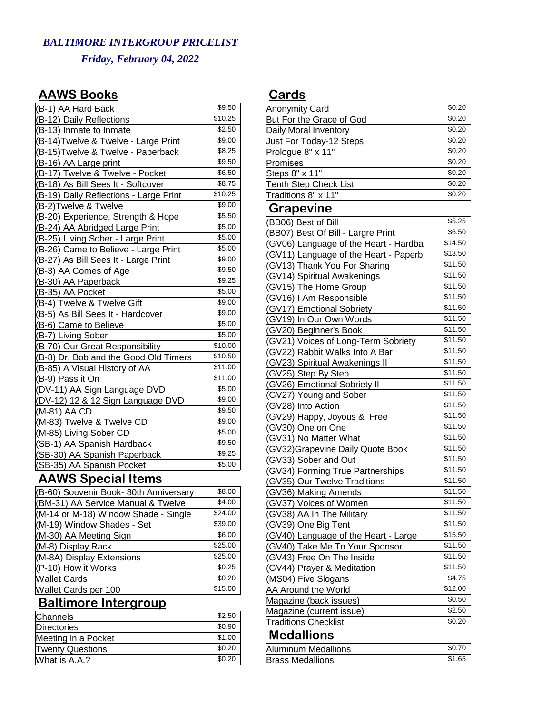## *BALTIMORE INTERGROUP PRICELIST Friday, February 04, 2022*

### **AAWS Books**

| (B-1) AA Hard Back                     | \$9.50  |
|----------------------------------------|---------|
| (B-12) Daily Reflections               | \$10.25 |
| (B-13) Inmate to Inmate                | \$2.50  |
| (B-14) Twelve & Twelve - Large Print   | \$9.00  |
| (B-15) Twelve & Twelve - Paperback     | \$8.25  |
| (B-16) AA Large print                  | \$9.50  |
| (B-17) Twelve & Twelve - Pocket        | \$6.50  |
| (B-18) As Bill Sees It - Softcover     | \$8.75  |
| (B-19) Daily Reflections - Large Print | \$10.25 |
| (B-2)Twelve & Twelve                   | \$9.00  |
| (B-20) Experience, Strength & Hope     | \$5.50  |
| (B-24) AA Abridged Large Print         | \$5.00  |
| (B-25) Living Sober - Large Print      | \$5.00  |
| (B-26) Came to Believe - Large Print   | \$5.00  |
| (B-27) As Bill Sees It - Large Print   | \$9.00  |
| (B-3) AA Comes of Age                  | \$9.50  |
| (B-30) AA Paperback                    | \$9.25  |
| (B-35) AA Pocket                       | \$5.00  |
| (B-4) Twelve & Twelve Gift             | \$9.00  |
| (B-5) As Bill Sees It - Hardcover      | \$9.00  |
| (B-6) Came to Believe                  | \$5.00  |
| (B-7) Living Sober                     | \$5.00  |
| (B-70) Our Great Responsibility        | \$10.00 |
| (B-8) Dr. Bob and the Good Old Timers  | \$10.50 |
| (B-85) A Visual History of AA          | \$11.00 |
| (B-9) Pass it On                       | \$11.00 |
| (DV-11) AA Sign Language DVD           | \$5.00  |
| (DV-12) 12 & 12 Sign Language DVD      | \$9.00  |
| (M-81) AA CD                           | \$9.50  |
| (M-83) Twelve & Twelve CD              | \$9.00  |
| (M-85) Living Sober CD                 | \$5.00  |
| (SB-1) AA Spanish Hardback             | \$9.50  |
| (SB-30) AA Spanish Paperback           | \$9.25  |
| (SB-35) AA Spanish Pocket              | \$5.00  |
| <b>AAWS Special Items</b>              |         |
| (B-60) Souvenir Book- 80th Anniversary | \$8.00  |
| (BM-31) AA Service Manual & Twelve     | \$4.00  |
| (M-14 or M-18) Window Shade - Single   | \$24.00 |
| (M-19) Window Shades - Set             | \$39.00 |
| (M-30) AA Meeting Sign                 | \$6.00  |
| (M-8) Display Rack                     | \$25.00 |
| (M-8A) Display Extensions              | \$25.00 |
| (P-10) How it Works                    | \$0.25  |
| <b>Wallet Cards</b>                    | \$0.20  |

#### Wallet Cards<br>
Wallet Cards per 100 \$15.00 Wallet Cards per 100 **Baltimore Intergroup**

| Channels                | \$2.50 |
|-------------------------|--------|
| Directories             | \$0.90 |
| Meeting in a Pocket     | \$1.00 |
| <b>Twenty Questions</b> | \$0.20 |
| What is A.A.?           | \$0.20 |

#### **Cards**

| <b>Anonymity Card</b>        | \$0.20 |
|------------------------------|--------|
| But For the Grace of God     | \$0.20 |
| Daily Moral Inventory        | \$0.20 |
| Just For Today-12 Steps      | \$0.20 |
| Prologue 8" x 11"            | \$0.20 |
| Promises                     | \$0.20 |
| Steps 8" x 11"               | \$0.20 |
| <b>Tenth Step Check List</b> | \$0.20 |
| Traditions 8" x 11"          | \$0.20 |
|                              |        |

#### **Grapevine**

| (BB06) Best of Bill                   | \$5.25  |
|---------------------------------------|---------|
| (BB07) Best Of Bill - Largre Print    | \$6.50  |
| (GV06) Language of the Heart - Hardba | \$14.50 |
| (GV11) Language of the Heart - Paperb | \$13.50 |
| (GV13) Thank You For Sharing          | \$11.50 |
| (GV14) Spiritual Awakenings           | \$11.50 |
| (GV15) The Home Group                 | \$11.50 |
| (GV16) I Am Responsible               | \$11.50 |
| (GV17) Emotional Sobriety             | \$11.50 |
| (GV19) In Our Own Words               | \$11.50 |
| (GV20) Beginner's Book                | \$11.50 |
| (GV21) Voices of Long-Term Sobriety   | \$11.50 |
| (GV22) Rabbit Walks Into A Bar        | \$11.50 |
| (GV23) Spiritual Awakenings II        | \$11.50 |
| (GV25) Step By Step                   | \$11.50 |
| (GV26) Emotional Sobriety II          | \$11.50 |
| (GV27) Young and Sober                | \$11.50 |
| (GV28) Into Action                    | \$11.50 |
| (GV29) Happy, Joyous & Free           | \$11.50 |
| (GV30) One on One                     | \$11.50 |
| (GV31) No Matter What                 | \$11.50 |
| (GV32) Grapevine Daily Quote Book     | \$11.50 |
| (GV33) Sober and Out                  | \$11.50 |
| (GV34) Forming True Partnerships      | \$11.50 |
| (GV35) Our Twelve Traditions          | \$11.50 |
| (GV36) Making Amends                  | \$11.50 |
| (GV37) Voices of Women                | \$11.50 |
| (GV38) AA In The Military             | \$11.50 |
| (GV39) One Big Tent                   | \$11.50 |
| (GV40) Language of the Heart - Large  | \$15.50 |
| (GV40) Take Me To Your Sponsor        | \$11.50 |
| (GV43) Free On The Inside             | \$11.50 |
| (GV44) Prayer & Meditation            | \$11.50 |
| (MS04) Five Slogans                   | \$4.75  |
| AA Around the World                   | \$12.00 |
| Magazine (back issues)                | \$0.50  |
| Magazine (current issue)              | \$2.50  |
| <b>Traditions Checklist</b>           | \$0.20  |

### **Medallions**

| Aluminum Medallions     | \$0.70 |
|-------------------------|--------|
| <b>Brass Medallions</b> | \$1.65 |